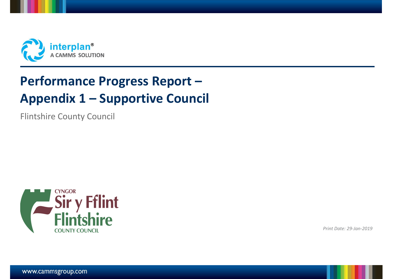

# **Performance Progress Report – Appendix 1 – Supportive Council**

Flintshire County Council



*Print Date: 29-Jan-2019*

www.cammsgroup.com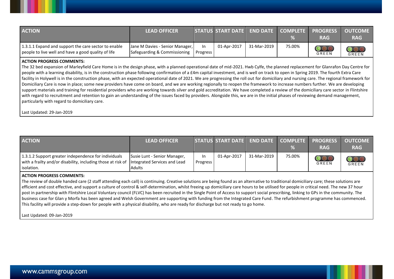| <b>ACTION</b>                                                                                               | <b>LEAD OFFICER</b>                                             |                       | STATUS START DATE END DATE COMPLETE PROGRESS |             |        | <b>RAG</b>                            | <b>OUTCOME</b><br><b>RAG</b> |
|-------------------------------------------------------------------------------------------------------------|-----------------------------------------------------------------|-----------------------|----------------------------------------------|-------------|--------|---------------------------------------|------------------------------|
| 1.3.1.1 Expand and support the care sector to enable<br>people to live well and have a good quality of life | Jane M Davies - Senior Manager,<br>Safeguarding & Commissioning | In<br><b>Progress</b> | 01-Apr-2017                                  | 31-Mar-2019 | 75.00% | $\overline{\bigcirc}$<br><b>GREEN</b> | <b>OOO</b>                   |

## **ACTION PROGRESS COMMENTS:**

The 32 bed expansion of Marleyfield Care Home is in the design phase, with a planned operational date of mid-2021. Hwb Cylfe, the planned replacement for Glanrafon Day Centre for people with a learning disability, is in the construction phase following confirmation of a £4m capital investment, and is well on track to open in Spring 2019. The fourth Extra Care facility in Holywell is in the construction phase, with an expected operational date of 2021. We are progressing the roll out for domiciliary and nursing care. The regional framework for Domiciliary Care is now in place; some new providers have come on board, and we are working regionally to reopen the framework to increase numbers further. We are developing support materials and training for residential providers who are working towards silver and gold accreditation. We have completed a review of the domiciliary care sector in Flintshire with regard to recruitment and retention to gain an understanding of the issues faced by providers. Alongside this, we are in the initial phases of reviewing demand management, particularly with regard to domiciliary care.

Last Updated: 29-Jan-2019

| <b>ACTION</b>                                                                                                                                                    | <b>LEAD OFFICER</b>                           |                        |             |             |        | STATUS START DATE END DATE COMPLETE PROGRESS OUTCOME<br><b>RAG</b> | <b>RAG</b> |
|------------------------------------------------------------------------------------------------------------------------------------------------------------------|-----------------------------------------------|------------------------|-------------|-------------|--------|--------------------------------------------------------------------|------------|
| 1.3.1.2 Support greater independence for individuals<br>with a frailty and/or disability, including those at risk of lintegrated Services and Lead<br>isolation. | Susie Lunt - Senior Manager,<br><b>Adults</b> | In.<br><b>Progress</b> | 01-Apr-2017 | 31-Mar-2019 | 75.00% | GREEN                                                              | GREEN      |

# **ACTION PROGRESS COMMENTS:**

The review of double handed care (2 staff attending each call) is continuing. Creative solutions are being found as an alternative to traditional domiciliary care; these solutions are efficient and cost effective, and support a culture of control & self-determination, whilst freeing up domiciliary care hours to be utilised for people in critical need. The new 37 hour post in partnership with Flintshire Local Voluntary council (FLVC) has been recruited in the Single Point of Access to support social prescribing, linking to GPs in the community. The business case for Glan y Morfa has been agreed and Welsh Government are supporting with funding from the Integrated Care Fund. The refurbishment programme has commenced. This facility will provide a step-down for people with a physical disability, who are ready for discharge but not ready to go home.

Last Updated: 09-Jan-2019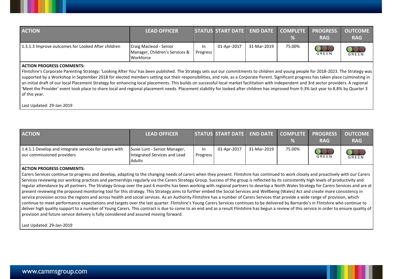| <b>ACTION</b>                                      | <b>LEAD OFFICER</b>                                                   |                       | STATUS START DATE   END DATE   COMPLETE   PROGRESS |             |        | <b>RAG</b> | <b>OUTCOME</b><br><b>RAG</b> |
|----------------------------------------------------|-----------------------------------------------------------------------|-----------------------|----------------------------------------------------|-------------|--------|------------|------------------------------|
| 1.3.1.3 Improve outcomes for Looked After children | Craig Macleod - Senior<br>Manager, Children's Services &<br>Workforce | In<br><b>Progress</b> | 01-Apr-2017                                        | 31-Mar-2019 | 75.00% | GREEN      | $\bigcirc$<br><b>GREEN</b>   |

## **ACTION PROGRESS COMMENTS:**

Flintshire's Corporate Parenting Strategy: 'Looking After You' has been published. The Strategy sets out our commitments to children and young people for 2018-2023. The Strategy was supported by a Workshop in September 2018 for elected members setting out their responsibilities, and role, as a Corporate Parent. Significant progress has taken place culminating in an initial draft of our local Placement Strategy for enhancing local placements. This builds on successful local market facilitation with independent and 3rd sector providers. A regional 'Meet the Provider' event took place to share local and regional placement needs. Placement stability for looked after children has improved from 9.3% last year to 8.8% by Quarter 3 of this year.

Last Updated: 29-Jan-2019

| <b>ACTION</b>                                                                        | <b>LEAD OFFICER</b>                                                           |                 | STATUS START DATE END DATE COMPLETE PROGRESS |             |        | <b>RAG</b> | <b>OUTCOME</b><br><b>RAG</b> |
|--------------------------------------------------------------------------------------|-------------------------------------------------------------------------------|-----------------|----------------------------------------------|-------------|--------|------------|------------------------------|
| 1.4.1.1 Develop and integrate services for carers with<br>our commissioned providers | Susie Lunt - Senior Manager,<br>Integrated Services and Lead<br><b>Adults</b> | In.<br>Progress | 01-Apr-2017                                  | 31-Mar-2019 | 75.00% | GREEN      | <b>GREEN</b>                 |

#### **ACTION PROGRESS COMMENTS:**

Carers Services continue to progress and develop, adapting to the changing needs of carers when they present. Flintshire has continued to work closely and proactively with our Carers Services reviewing our working practices and partnerships regularly via the Carers Strategy Group. Success of the group is reflected by its consistently high levels of productivity and regular attendance by all partners. The Strategy Group over the past 6 months has been working with regional partners to develop a North Wales Strategy for Carers Services and are at present reviewing the proposed monitoring tool for this strategy. This Strategy aims to further embed the Social Services and Wellbeing (Wales) Act and create more consistency in service provision across the regions and across health and social services. As an Authority Flintshire has a number of Carers Services that provide a wide range of provision, which continue to meet performance expectations and targets over the last quarter. Flintshire's Young Carers Services continues to be delivered by Barnardo's in Flintshire who continue to deliver high quality support to a number of Young Carers. This contract is due to come to an end and as a result Flintshire has begun a review of this service in order to ensure quality of provision and future service delivery is fully considered and assured moving forward.

Last Updated: 29-Jan-2019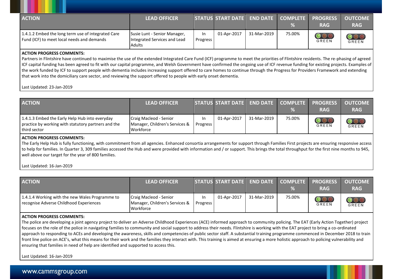| <b>ACTION</b>                                                                                    | <b>LEAD OFFICER</b>                                                    |                       | STATUS START DATE END DATE COMPLETE |             |        | <b>PROGRESS</b><br><b>RAG</b> | <b>OUTCOME</b><br><b>RAG</b> |
|--------------------------------------------------------------------------------------------------|------------------------------------------------------------------------|-----------------------|-------------------------------------|-------------|--------|-------------------------------|------------------------------|
| 1.4.1.2 Embed the long term use of integrated Care<br>Fund (ICF) to meet local needs and demands | Susie Lunt - Senior Manager,<br>Integrated Services and Lead<br>Adults | In<br><b>Progress</b> | 01-Apr-2017                         | 31-Mar-2019 | 75.00% | OOL<br><b>GREEN</b>           | <b>OOO</b>                   |

## **ACTION PROGRESS COMMENTS:**

Partners in Flintshire have continued to maximise the use of the extended Integrated Care Fund (ICF) programme to meet the priorities of Flintshire residents. The re-phasing of agreed ICF capital funding has been agreed to fit with our capital programme, and Welsh Government have confirmed the ongoing use of ICF revenue funding for existing projects. Examples of the work funded by ICF to support people with dementia includes increasing support offered to care homes to continue through the Progress for Providers Framework and extending that work into the domiciliary care sector, and reviewing the support offered to people with early onset dementia.

# Last Updated: 23-Jan-2019

| <b>ACTION</b>                                                                                                         | <b>LEAD OFFICER</b>                                                   |                        | STATUS START DATE END DATE COMPLETE PROGRESS |             |        | <b>RAG</b>          | <b>OUTCOME</b><br><b>RAG</b>     |
|-----------------------------------------------------------------------------------------------------------------------|-----------------------------------------------------------------------|------------------------|----------------------------------------------|-------------|--------|---------------------|----------------------------------|
| 1.4.1.3 Embed the Early Help Hub into everyday<br>practice by working with statutory partners and the<br>third sector | Craig Macleod - Senior<br>Manager, Children's Services &<br>Workforce | In.<br><b>Progress</b> | 01-Apr-2017                                  | 31-Mar-2019 | 75.00% | $\bigcirc$<br>GREEN | $\overline{\text{OOO}}$<br>GREEN |

# **ACTION PROGRESS COMMENTS:**

The Early Help Hub is fully functioning, with commitment from all agencies. Enhanced consortia arrangements for support through Families First projects are ensuring responsive access to help for families. In Quarter 3, 309 families accessed the Hub and were provided with information and / or support. This brings the total throughput for the first nine months to 945, well above our target for the year of 800 families.

#### Last Updated: 16-Jan-2019

| <b>ACTION</b>                                                                              | <b>LEAD OFFICER</b>                                                   |                 | STATUS START DATE END DATE |             | %      | COMPLETE PROGRESS<br><b>RAG</b> | <b>OUTCOME</b><br><b>RAG</b>    |
|--------------------------------------------------------------------------------------------|-----------------------------------------------------------------------|-----------------|----------------------------|-------------|--------|---------------------------------|---------------------------------|
| 1.4.1.4 Working with the new Wales Programme to<br>recognise Adverse Childhood Experiences | Craig Macleod - Senior<br>Manager, Children's Services &<br>Workforce | In.<br>Progress | 01-Apr-2017                | 31-Mar-2019 | 75.00% | <b>GREEN</b>                    | $\overline{\text{OO}}$<br>GREEN |

## **ACTION PROGRESS COMMENTS:**

The police are developing a joint agency project to deliver an Adverse Childhood Experiences (ACE) informed approach to community policing. The EAT (Early Action Together) project focuses on the role of the police in navigating families to community and social support to address their needs. Flintshire is working with the EAT project to bring a co-ordinated approach to responding to ACEs and developing the awareness, skills and competencies of public sector staff. A substantial training programme commenced in December 2018 to train front line police on ACE's, what this means for their work and the families they interact with. This training is aimed at ensuring a more holistic approach to policing vulnerability and ensuring that families in need of help are identified and supported to access this.

Last Updated: 16-Jan-2019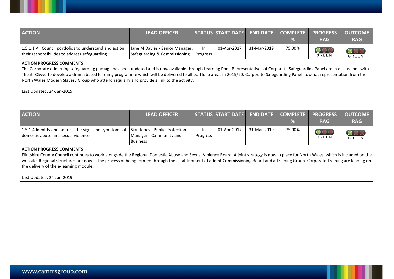| <b>ACTION</b>                                                                                                                                                                                                                                                                                                                                                                                                                                                                                           | <b>LEAD OFFICER</b>                                             |                 | <b>STATUS START DATE</b> | <b>END DATE</b> | <b>COMPLETE</b><br>% | <b>PROGRESS</b><br><b>RAG</b>               | <b>OUTCOME</b><br><b>RAG</b>                        |
|---------------------------------------------------------------------------------------------------------------------------------------------------------------------------------------------------------------------------------------------------------------------------------------------------------------------------------------------------------------------------------------------------------------------------------------------------------------------------------------------------------|-----------------------------------------------------------------|-----------------|--------------------------|-----------------|----------------------|---------------------------------------------|-----------------------------------------------------|
| 1.5.1.1 All Council portfolios to understand and act on<br>their responsibilities to address safeguarding                                                                                                                                                                                                                                                                                                                                                                                               | Jane M Davies - Senior Manager,<br>Safeguarding & Commissioning | In.<br>Progress | 01-Apr-2017              | 31-Mar-2019     | 75.00%               | $\overline{\mathcal{O}}$ or<br><b>GREEN</b> | $\overline{\mathcal{O}\mathcal{O}}$<br><b>GREEN</b> |
| <b>ACTION PROGRESS COMMENTS:</b><br>The Corporate e-learning safeguarding package has been updated and is now available through Learning Pool. Representatives of Corporate Safeguarding Panel are in discussions with<br>Theatr Clwyd to develop a drama based learning programme which will be delivered to all portfolio areas in 2019/20. Corporate Safeguarding Panel now has representation from the<br>North Wales Modern Slavery Group who attend regularly and provide a link to the activity. |                                                                 |                 |                          |                 |                      |                                             |                                                     |

Last Updated: 24-Jan-2019

| <b>ACTION</b>                                                                                                               | <b>LEAD OFFICER</b>                        |                 | STATUS START DATE END DATE COMPLETE PROGRESS |             | $\frac{9}{6}$ | <b>RAG</b>                 | <b>OUTCOME</b><br><b>RAG</b> |
|-----------------------------------------------------------------------------------------------------------------------------|--------------------------------------------|-----------------|----------------------------------------------|-------------|---------------|----------------------------|------------------------------|
| 1.5.1.4 Identify and address the signs and symptoms of Sian Jones - Public Protection<br>domestic abuse and sexual violence | Manager - Community and<br><b>Business</b> | In.<br>Progress | 01-Apr-2017                                  | 31-Mar-2019 | 75.00%        | $\bigcirc$<br><b>GREEN</b> | GREEN                        |

# **ACTION PROGRESS COMMENTS:**

Flintshire County Council continues to work alongside the Regional Domestic Abuse and Sexual Violence Board. A joint strategy is now in place for North Wales, which is included on the website. Regional structures are now in the process of being formed through the establishment of a Joint Commissioning Board and a Training Group. Corporate Training are leading on the delivery of the e-learning module.

Last Updated: 24-Jan-2019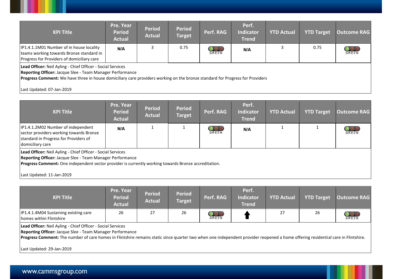| <b>KPI Title</b>                                                                                                                   | <b>Pre. Year</b><br><b>Period</b><br><b>Actual</b> | <b>Period</b><br><b>Actual</b> | <b>Period</b><br>Target | Perf. RAG           | Perf.<br>Indicator<br><b>Trend</b> | <b>YTD Actual</b> | <b>YTD Target</b> | Outcome RAG |
|------------------------------------------------------------------------------------------------------------------------------------|----------------------------------------------------|--------------------------------|-------------------------|---------------------|------------------------------------|-------------------|-------------------|-------------|
| IP1.4.1.1M01 Number of in house locality<br>teams working towards Bronze standard in<br>Progress for Providers of domiciliary care | N/A                                                |                                | 0.75                    | <b>OOO</b><br>GREEN | N/A                                |                   | 0.75              | GREEN       |

**Lead Officer:** Neil Ayling - Chief Officer - Social Services

**Reporting Officer:** Jacque Slee - Team Manager Performance

**Progress Comment:** We have three in house domiciliary care providers working on the bronze standard for Progress for Providers

Last Updated: 07-Jan-2019

| <b>KPI Title</b>                                                                                                                                                                                                                                              | Pre. Year<br><b>Period</b><br><b>Actual</b> | <b>Period</b><br><b>Actual</b> | <b>Period</b><br><b>Target</b> | Perf. RAG                       | Perf.<br><b>Indicator</b><br><b>Trend</b> | <b>YTD Actual</b> | <b>YTD Target</b> | <b>Outcome RAG</b> |
|---------------------------------------------------------------------------------------------------------------------------------------------------------------------------------------------------------------------------------------------------------------|---------------------------------------------|--------------------------------|--------------------------------|---------------------------------|-------------------------------------------|-------------------|-------------------|--------------------|
| IP1.4.1.2M02 Number of independent<br>sector providers working towards Bronze<br>standard in Progress for Providers of<br>domiciliary care                                                                                                                    | N/A                                         |                                |                                | $\overline{\text{OO}}$<br>GREEN | N/A                                       |                   |                   | GREEN              |
| Lead Officer: Neil Ayling - Chief Officer - Social Services<br>Reporting Officer: Jacque Slee - Team Manager Performance<br>Progress Comment: One independent sector provider is currently working towards Bronze accreditation.<br>Last Updated: 11-Jan-2019 |                                             |                                |                                |                                 |                                           |                   |                   |                    |

| <b>KPI Title</b>                                                                                                                                                                                                                                                                                             | Pre. Year<br><b>Period</b><br><b>Actual</b> | <b>Period</b><br><b>Actual</b> | <b>Period</b><br><b>Target</b> | Perf. RAG      | Perf.<br><b>Indicator</b><br><b>Trend</b> | <b>YTD Actual</b> | <b>YTD Target</b> | <b>Outcome RAG</b>       |  |
|--------------------------------------------------------------------------------------------------------------------------------------------------------------------------------------------------------------------------------------------------------------------------------------------------------------|---------------------------------------------|--------------------------------|--------------------------------|----------------|-------------------------------------------|-------------------|-------------------|--------------------------|--|
| <b>IP1.4.1.4M04 Sustaining existing care</b><br>homes within Flintshire                                                                                                                                                                                                                                      | 26                                          | 27                             | 26                             | $\frac{000}{6$ |                                           | 27                | 26                | $\mathrm{OO}$ (<br>GREEN |  |
| Lead Officer: Neil Ayling - Chief Officer - Social Services<br>Reporting Officer: Jacque Slee - Team Manager Performance<br>Progress Comment: The number of care homes in Flintshire remains static since quarter two when one independent provider reopened a home offering residential care in Flintshire. |                                             |                                |                                |                |                                           |                   |                   |                          |  |

Last Updated: 29-Jan-2019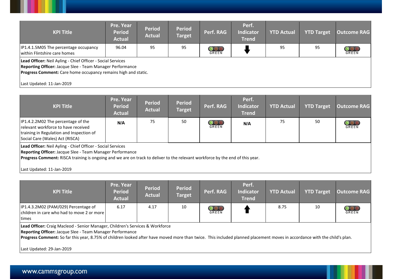| <b>KPI Title</b>                                                                                                                                                                                                        | Pre. Year<br><b>Period</b><br><b>Actual</b> | <b>Period</b><br><b>Actual</b> | <b>Period</b><br><b>Target</b> | Perf. RAG | Perf.<br><b>Indicator</b><br><b>Trend</b> | <b>YTD Actual</b> | <b>YTD Target</b> | <b>Outcome RAG</b>      |
|-------------------------------------------------------------------------------------------------------------------------------------------------------------------------------------------------------------------------|---------------------------------------------|--------------------------------|--------------------------------|-----------|-------------------------------------------|-------------------|-------------------|-------------------------|
| IP1.4.1.5M05 The percentage occupancy<br>within Flintshire care homes                                                                                                                                                   | 96.04                                       | 95                             | 95                             | GREEN     |                                           | 95                | 95                | $\circledcirc$<br>GREEN |
| Lead Officer: Neil Ayling - Chief Officer - Social Services<br>Reporting Officer: Jacque Slee - Team Manager Performance<br>Progress Comment: Care home occupancy remains high and static.<br>Last Updated: 11-Jan-2019 |                                             |                                |                                |           |                                           |                   |                   |                         |

| <b>KPI Title</b>                                                                                                                                                                                                                                                                       | Pre. Year<br><b>Period</b><br><b>Actual</b> | <b>Period</b><br><b>Actual</b> | <b>Period</b><br><b>Target</b> | Perf. RAG                        | Perf.<br><b>Indicator</b><br><b>Trend</b> | <b>YTD Actual</b> | <b>YTD Target</b> | <b>Outcome RAG</b> |
|----------------------------------------------------------------------------------------------------------------------------------------------------------------------------------------------------------------------------------------------------------------------------------------|---------------------------------------------|--------------------------------|--------------------------------|----------------------------------|-------------------------------------------|-------------------|-------------------|--------------------|
| IP1.4.2.2M02 The percentage of the<br>relevant workforce to have received<br>training in Regulation and Inspection of<br>Social Care (Wales) Act (RISCA)                                                                                                                               | N/A                                         | 75                             | 50                             | $\overline{\mathbf{O}}$<br>GREEN | N/A                                       | 75                | 50                | GREEN              |
| Lead Officer: Neil Ayling - Chief Officer - Social Services<br>Reporting Officer: Jacque Slee - Team Manager Performance<br>Progress Comment: RISCA training is ongoing and we are on track to deliver to the relevant workforce by the end of this year.<br>Last Updated: 11-Jan-2019 |                                             |                                |                                |                                  |                                           |                   |                   |                    |

| <b>KPI Title</b>                                                                                                                                                                                                                                                                                                                                            | Pre. Year<br><b>Period</b><br><b>Actual</b> | <b>Period</b><br><b>Actual</b> | <b>Period</b><br><b>Target</b> | Perf. RAG                       | Perf.<br><b>Indicator</b><br><b>Trend</b> | <b>YTD Actual</b> | <b>YTD Target</b> | <b>Outcome RAG</b> |
|-------------------------------------------------------------------------------------------------------------------------------------------------------------------------------------------------------------------------------------------------------------------------------------------------------------------------------------------------------------|---------------------------------------------|--------------------------------|--------------------------------|---------------------------------|-------------------------------------------|-------------------|-------------------|--------------------|
| IP1.4.3.2M02 (PAM/029) Percentage of<br>children in care who had to move 2 or more<br>times                                                                                                                                                                                                                                                                 | 6.17                                        | 4.17                           | 10                             | $\overline{\text{OO}}$<br>GREEN |                                           | 8.75              | 10                | GREEN              |
| <b>Lead Officer:</b> Craig Macleod - Senior Manager, Children's Services & Workforce<br>Reporting Officer: Jacque Slee - Team Manager Performance<br>Progress Comment: So far this year, 8.75% of children looked after have moved more than twice. This included planned placement moves in accordance with the child's plan.<br>Last Updated: 29-Jan-2019 |                                             |                                |                                |                                 |                                           |                   |                   |                    |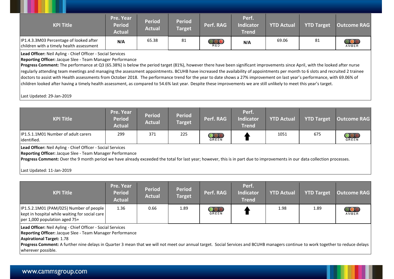| <b>KPI Title</b>                                                                    | Pre. Year<br><b>Period</b><br><b>Actual</b> | <b>Period</b><br><b>Actual</b> | <b>Period</b><br><b>Target</b> | Perf. RAG  | Perf.<br><b>Indicator</b><br><b>Trend</b> | <b>YTD Actual</b> | <b>YTD Target</b> | <b>Outcome RAG</b> |
|-------------------------------------------------------------------------------------|---------------------------------------------|--------------------------------|--------------------------------|------------|-------------------------------------------|-------------------|-------------------|--------------------|
| IP1.4.3.3M03 Percentage of looked after<br>children with a timely health assessment | N/A                                         | 65.38                          | 81                             | <b>RED</b> | N/A                                       | 69.06             | 81                | AMBER              |

**Lead Officer:** Neil Ayling - Chief Officer - Social Services

**Reporting Officer:** Jacque Slee - Team Manager Performance

**Progress Comment:** The performance at Q3 (65.38%) is below the period target (81%), however there have been significant improvements since April, with the looked after nurse regularly attending team meetings and managing the assessment appointments. BCUHB have increased the availability of appointments per month to 6 slots and recruited 2 trainee doctors to assist with Health assessments from October 2018. The performance trend for the year to date shows a 27% improvement on last year's performance, with 69.06% of children looked after having a timely health assessment, as compared to 54.6% last year. Despite these improvements we are still unlikely to meet this year's target.

Last Updated: 29-Jan-2019

| <b>KPI Title</b>                                    | <b>Pre. Year</b><br>Period<br><b>Actual</b> | <b>Period</b><br><b>Actual</b> | <b>Period</b><br><b>Target</b> | Perf. RAG                  | Perf.<br><b>Indicator</b><br><b>Trend</b> | <b>YTD Actual</b> | <b>YTD Target</b> | Outcome RAG  |
|-----------------------------------------------------|---------------------------------------------|--------------------------------|--------------------------------|----------------------------|-------------------------------------------|-------------------|-------------------|--------------|
| IP1.5.1.1M01 Number of adult carers<br>lidentified. | 299                                         | 371                            | 225                            | $\frac{000}{\text{GREEN}}$ |                                           | 1051              | 675               | <b>GREEN</b> |

**Lead Officer:** Neil Ayling - Chief Officer - Social Services

**Reporting Officer:** Jacque Slee - Team Manager Performance

**Progress Comment:** Over the 9 month period we have already exceeded the total for last year; however, this is in part due to improvements in our data collection processes.

Last Updated: 11-Jan-2019

| <b>KPI Title</b>                                                                                                                  | Pre. Year<br><b>Period</b><br><b>Actual</b> | <b>Period</b><br><b>Actual</b> | <b>Period</b><br><b>Target</b> | Perf. RAG                       | Perf.<br><b>Indicator</b><br><b>Trend</b> | <b>YTD Actual</b> | <b>YTD Target</b> | <b>Outcome RAG</b> |
|-----------------------------------------------------------------------------------------------------------------------------------|---------------------------------------------|--------------------------------|--------------------------------|---------------------------------|-------------------------------------------|-------------------|-------------------|--------------------|
| $ IP1.5.2.1M01$ (PAM/025) Number of people<br>  kept in hospital while waiting for social care<br>$per 1,000$ population aged 75+ | 1.36                                        | 0.66                           | 1.89                           | $\overline{\text{OO}}$<br>GREEN |                                           | 1.98              | 1.89              | 000<br>AMBER       |
| Lead Officer: Neil Ayling - Chief Officer - Social Services<br><b>Reporting Officer: Jacque Slee - Team Manager Performance</b>   |                                             |                                |                                |                                 |                                           |                   |                   |                    |

**Aspirational Target:** 1.78

**Progress Comment:** A further nine delays in Quarter 3 mean that we will not meet our annual target. Social Services and BCUHB managers continue to work together to reduce delays wherever possible.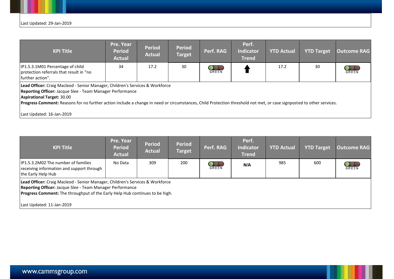| <b>KPI Title</b>                                                                                                                                                                                                                                                                                                                                 | Pre. Year<br><b>Period</b><br><b>Actual</b> | <b>Period</b><br><b>Actual</b> | <b>Period</b><br><b>Target</b> | Perf. RAG                               | Perf.<br><b>Indicator</b><br><b>Trend</b> | <b>YTD Actual</b> | <b>YTD Target</b> | <b>Outcome RAG</b> |
|--------------------------------------------------------------------------------------------------------------------------------------------------------------------------------------------------------------------------------------------------------------------------------------------------------------------------------------------------|---------------------------------------------|--------------------------------|--------------------------------|-----------------------------------------|-------------------------------------------|-------------------|-------------------|--------------------|
| IP1.5.3.1M01 Percentage of child<br>protection referrals that result in "no<br>further action".                                                                                                                                                                                                                                                  | 34                                          | 17.2                           | 30                             | $\overline{\mathbf{O}}$<br><b>GREEN</b> |                                           | 17.2              | 30                | $\frac{0}{0}$      |
| Lead Officer: Craig Macleod - Senior Manager, Children's Services & Workforce<br>Reporting Officer: Jacque Slee - Team Manager Performance<br>Aspirational Target: 30.00<br>Progress Comment: Reasons for no further action include a change in need or circumstances, Child Protection threshold not met, or case signposted to other services. |                                             |                                |                                |                                         |                                           |                   |                   |                    |
| Last Updated: 16-Jan-2019                                                                                                                                                                                                                                                                                                                        |                                             |                                |                                |                                         |                                           |                   |                   |                    |

| <b>KPI Title</b>                                                                                                                                                                                                                                               | Pre. Year<br><b>Period</b><br><b>Actual</b> | <b>Period</b><br><b>Actual</b> | <b>Period</b><br><b>Target</b> | Perf. RAG                     | Perf.<br><b>Indicator</b><br><b>Trend</b> | <b>YTD Actual</b> | <b>YTD Target</b> | <b>Outcome RAG</b> |
|----------------------------------------------------------------------------------------------------------------------------------------------------------------------------------------------------------------------------------------------------------------|---------------------------------------------|--------------------------------|--------------------------------|-------------------------------|-------------------------------------------|-------------------|-------------------|--------------------|
| IP1.5.3.2M02 The number of families<br>receiving information and support through<br>the Early Help Hub                                                                                                                                                         | No Data                                     | 309                            | 200                            | $\overline{Q}$ $\overline{Q}$ | N/A                                       | 985               | 600               | <b>OOO</b>         |
| Lead Officer: Craig Macleod - Senior Manager, Children's Services & Workforce<br>Reporting Officer: Jacque Slee - Team Manager Performance<br><b>Progress Comment:</b> The throughput of the Early Help Hub continues to be high.<br>Last Updated: 11-Jan-2019 |                                             |                                |                                |                               |                                           |                   |                   |                    |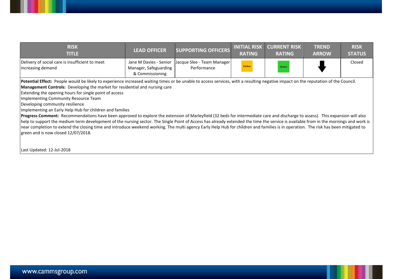| <b>RISK</b><br>TITLE                                                 | <b>LEAD OFFICER</b>                      | SUPPORTING OFFICERS                                                | <b>INITIAL RISK</b><br><b>RATING</b> | <b>CURRENT RISK</b><br><b>RATING</b> | <b>TREND</b><br><b>ARROW</b> | <b>RISK</b><br><b>STATUS</b> |
|----------------------------------------------------------------------|------------------------------------------|--------------------------------------------------------------------|--------------------------------------|--------------------------------------|------------------------------|------------------------------|
| Delivery of social care is insufficient to meet<br>increasing demand | Manager, Safeguarding<br>& Commissioning | Jane M Davies - Senior   Jacque Slee - Team Manager<br>Performance | Amber                                | Green                                |                              | Closed                       |

Potential Effect: People would be likely to experience increased waiting times or be unable to access services, with a resulting negative impact on the reputation of the Council. **Management Controls:** Developing the market for residential and nursing care

Extending the opening hours for single point of access

Implementing Community Resource Team

Developing community resilience

Implementing an Early Help Hub for children and families

**Progress Comment:** Recommendations have been approved to explore the extension of Marleyfield (32 beds for intermediate care and discharge to assess). This expansion will also help to support the medium term development of the nursing sector. The Single Point of Access has already extended the time the service is available from in the mornings and work is near completion to extend the closing time and introduce weekend working. The multi agency Early Help Hub for children and families is in operation. The risk has been mitigated to green and is now closed 12/07/2018.

Last Updated: 12-Jul-2018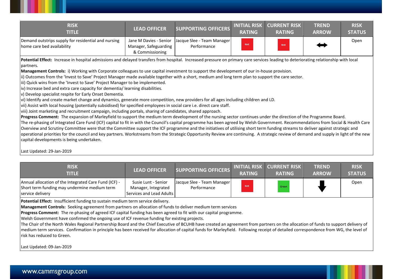| <b>RISK</b><br>TITLE.                                                             | <b>LEAD OFFICER</b>                      | <b>SUPPORTING OFFICERS</b>                                         | <b>RATING</b> | <b>INITIAL RISK CURRENT RISK</b><br><b>RATING</b> | <b>TREND</b><br><b>ARROW</b> | <b>RISK</b><br><b>STATUS</b> |
|-----------------------------------------------------------------------------------|------------------------------------------|--------------------------------------------------------------------|---------------|---------------------------------------------------|------------------------------|------------------------------|
| Demand outstrips supply for residential and nursing<br>home care bed availability | Manager, Safeguarding<br>& Commissioning | Jane M Davies - Senior   Jacque Slee - Team Manager<br>Performance | Red           | <b>Red</b>                                        |                              | Open                         |

Potential Effect: Increase in hospital admissions and delayed transfers from hospital. Increased pressure on primary care services leading to deteriorating relationship with local partners.

**Management Controls:** i) Working with Corporate colleagues to use capital investment to support the development of our in-house provision.

ii) Outcomes from the 'Invest to Save' Project Manager made available together with a short, medium and long term plan to support the care sector.

iii) Quick wins from the 'Invest to Save' Project Manager to be implemented.

iv) Increase bed and extra care capacity for dementia/ learning disabilities.

v) Develop specialist respite for Early Onset Dementia.

vi) Identify and create market change and dynamics, generate more competition, new providers for all ages including children and LD.

vii) Assist with local housing (potentially subsidised) for specified employees in social care i.e. direct care staff.

viii) Joint marketing and recruitment campaign, including portals, sharing of candidates, shared approach.

**Progress Comment:** The expansion of Marleyfield to support the medium term development of the nursing sector continues under the direction of the Programme Board.

The re-phasing of Integrated Care Fund (ICF) capital to fit in with the Council's capital programme has been agreed by Welsh Government. Recommendations from Social & Health Care Overview and Scrutiny Committee were that the Committee support the ICF programme and the initiatives of utilising short term funding streams to deliver against strategic and operational priorities for the council and key partners. Workstreams from the Strategic Opportunity Review are continuing. A strategic review of demand and supply in light of the new capital developments is being undertaken.

Last Updated: 29-Jan-2019

| <b>RISK</b><br>TITLE                                                                                                      | <b>LEAD OFFICER</b>                                                    | <b>SUPPORTING OFFICERS</b>                | <b>RATING</b> | <b>INITIAL RISK CURRENT RISK \</b><br><b>RATING</b> | <b>TREND</b><br><b>ARROW</b> | <b>RISK</b><br><b>STATUS</b> |
|---------------------------------------------------------------------------------------------------------------------------|------------------------------------------------------------------------|-------------------------------------------|---------------|-----------------------------------------------------|------------------------------|------------------------------|
| Annual allocation of the Integrated Care Fund (ICF) -<br>Short term funding may undermine medium term<br>service delivery | Susie Lunt - Senior<br>Manager, Integrated<br>Services and Lead Adults | Jacque Slee - Team Manager<br>Performance | <b>Red</b>    | Green                                               |                              | Open                         |

Potential Effect: Insufficient funding to sustain medium term service delivery.

**Management Controls:** Seeking agreement from partners on allocation of funds to deliver medium term services

**Progress Comment:** The re-phasing of agreed ICF capital funding has been agreed to fit with our capital programme.

Welsh Government have confirmed the ongoing use of ICF revenue funding for existing projects.

The Chair of the North Wales Regional Partnership Board and the Chief Executive of BCUHB have created an agreement from partners on the allocation of funds to support delivery of medium term services. Confirmation in principle has been received for allocation of capital funds for Marleyfield. Following receipt of detailed correspondence from WG, the level of risk has reduced to Green.

Last Updated: 09-Jan-2019